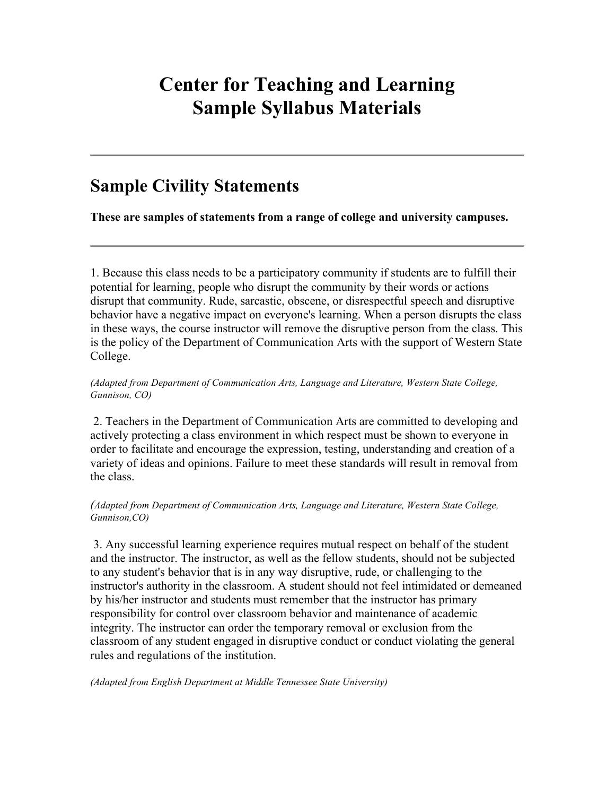# **Center for Teaching and Learning Sample Syllabus Materials**

# **Sample Civility Statements**

**These are samples of statements from a range of college and university campuses.**

1. Because this class needs to be a participatory community if students are to fulfill their potential for learning, people who disrupt the community by their words or actions disrupt that community. Rude, sarcastic, obscene, or disrespectful speech and disruptive behavior have a negative impact on everyone's learning. When a person disrupts the class in these ways, the course instructor will remove the disruptive person from the class. This is the policy of the Department of Communication Arts with the support of Western State College.

#### *(Adapted from Department of Communication Arts, Language and Literature, Western State College, Gunnison, CO)*

2. Teachers in the Department of Communication Arts are committed to developing and actively protecting a class environment in which respect must be shown to everyone in order to facilitate and encourage the expression, testing, understanding and creation of a variety of ideas and opinions. Failure to meet these standards will result in removal from the class.

#### *(Adapted from Department of Communication Arts, Language and Literature, Western State College, Gunnison,CO)*

3. Any successful learning experience requires mutual respect on behalf of the student and the instructor. The instructor, as well as the fellow students, should not be subjected to any student's behavior that is in any way disruptive, rude, or challenging to the instructor's authority in the classroom. A student should not feel intimidated or demeaned by his/her instructor and students must remember that the instructor has primary responsibility for control over classroom behavior and maintenance of academic integrity. The instructor can order the temporary removal or exclusion from the classroom of any student engaged in disruptive conduct or conduct violating the general rules and regulations of the institution.

*(Adapted from English Department at Middle Tennessee State University)*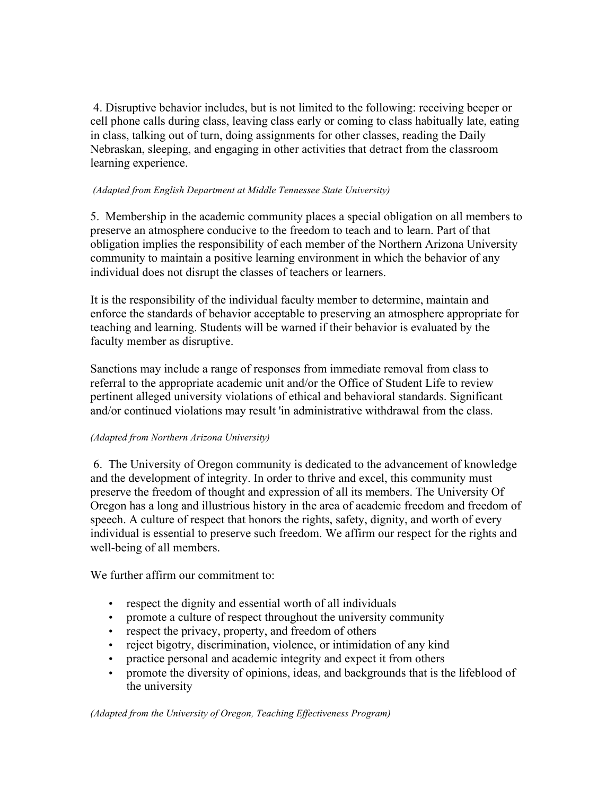4. Disruptive behavior includes, but is not limited to the following: receiving beeper or cell phone calls during class, leaving class early or coming to class habitually late, eating in class, talking out of turn, doing assignments for other classes, reading the Daily Nebraskan, sleeping, and engaging in other activities that detract from the classroom learning experience.

#### *(Adapted from English Department at Middle Tennessee State University)*

5. Membership in the academic community places a special obligation on all members to preserve an atmosphere conducive to the freedom to teach and to learn. Part of that obligation implies the responsibility of each member of the Northern Arizona University community to maintain a positive learning environment in which the behavior of any individual does not disrupt the classes of teachers or learners.

It is the responsibility of the individual faculty member to determine, maintain and enforce the standards of behavior acceptable to preserving an atmosphere appropriate for teaching and learning. Students will be warned if their behavior is evaluated by the faculty member as disruptive.

Sanctions may include a range of responses from immediate removal from class to referral to the appropriate academic unit and/or the Office of Student Life to review pertinent alleged university violations of ethical and behavioral standards. Significant and/or continued violations may result 'in administrative withdrawal from the class.

## *(Adapted from Northern Arizona University)*

6. The University of Oregon community is dedicated to the advancement of knowledge and the development of integrity. In order to thrive and excel, this community must preserve the freedom of thought and expression of all its members. The University Of Oregon has a long and illustrious history in the area of academic freedom and freedom of speech. A culture of respect that honors the rights, safety, dignity, and worth of every individual is essential to preserve such freedom. We affirm our respect for the rights and well-being of all members.

We further affirm our commitment to:

- respect the dignity and essential worth of all individuals
- promote a culture of respect throughout the university community
- respect the privacy, property, and freedom of others
- reject bigotry, discrimination, violence, or intimidation of any kind
- practice personal and academic integrity and expect it from others
- promote the diversity of opinions, ideas, and backgrounds that is the lifeblood of the university

*(Adapted from the University of Oregon, Teaching Effectiveness Program)*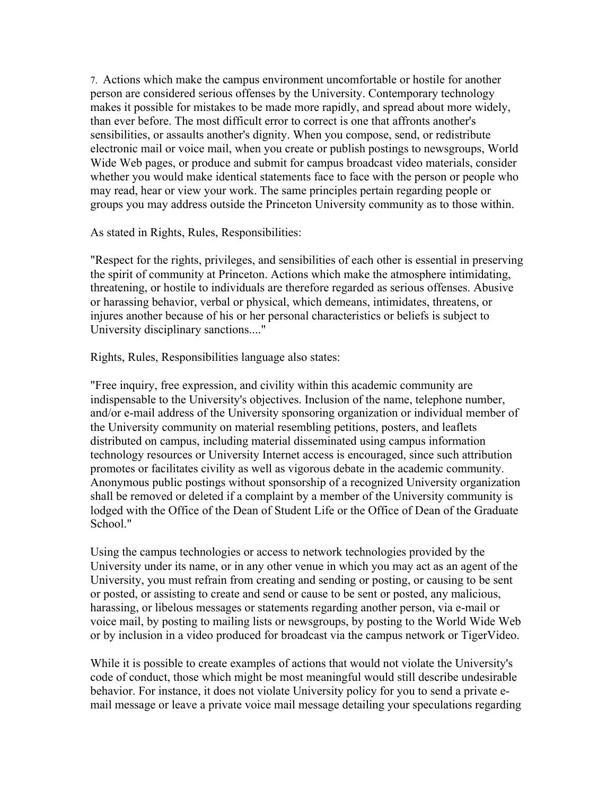7. Actions which make the campus environment uncomfortable or hostile for another person are considered serious offenses by the University. Contemporary technology makes it possible for mistakes to be made more rapidly, and spread about more widely, than ever before. The most difficult error to correct is one that affronts another's sensibilities, or assaults another's dignity. When you compose, send, or redistribute electronic mail or voice mail, when you create or publish postings to newsgroups, World Wide Web pages, or produce and submit for campus broadcast video materials, consider whether you would make identical statements face to face with the person or people who may read, hear or view your work. The same principles pertain regarding people or groups you may address outside the Princeton University community as to those within.

As stated in Rights, Rules, Responsibilities:

"Respect for the rights, privileges, and sensibilities of each other is essential in preserving the spirit of community at Princeton. Actions which make the atmosphere intimidating, threatening, or hostile to individuals are therefore regarded as serious offenses. Abusive or harassing behavior, verbal or physical, which demeans, intimidates, threatens, or injures another because of his or her personal characteristics or beliefs is subject to University disciplinary sanctions...."

Rights, Rules, Responsibilities language also states:

"Free inquiry, free expression, and civility within this academic community are indispensable to the University's objectives. Inclusion of the name, telephone number, and/or e-mail address of the University sponsoring organization or individual member of the University community on material resembling petitions, posters, and leaflets distributed on campus, including material disseminated using campus information technology resources or University Internet access is encouraged, since such attribution promotes or facilitates civility as well as vigorous debate in the academic community. Anonymous public postings without sponsorship of a recognized University organization shall be removed or deleted if a complaint by a member of the University community is lodged with the Office of the Dean of Student Life or the Office of Dean of the Graduate School."

Using the campus technologies or access to network technologies provided by the University under its name, or in any other venue in which you may act as an agent of the University, you must refrain from creating and sending or posting, or causing to be sent or posted, or assisting to create and send or cause to be sent or posted, any malicious, harassing, or libelous messages or statements regarding another person, via e-mail or voice mail, by posting to mailing lists or newsgroups, by posting to the World Wide Web or by inclusion in a video produced for broadcast via the campus network or TigerVideo.

While it is possible to create examples of actions that would not violate the University's code of conduct, those which might be most meaningful would still describe undesirable behavior. For instance, it does not violate University policy for you to send a private email message or leave a private voice mail message detailing your speculations regarding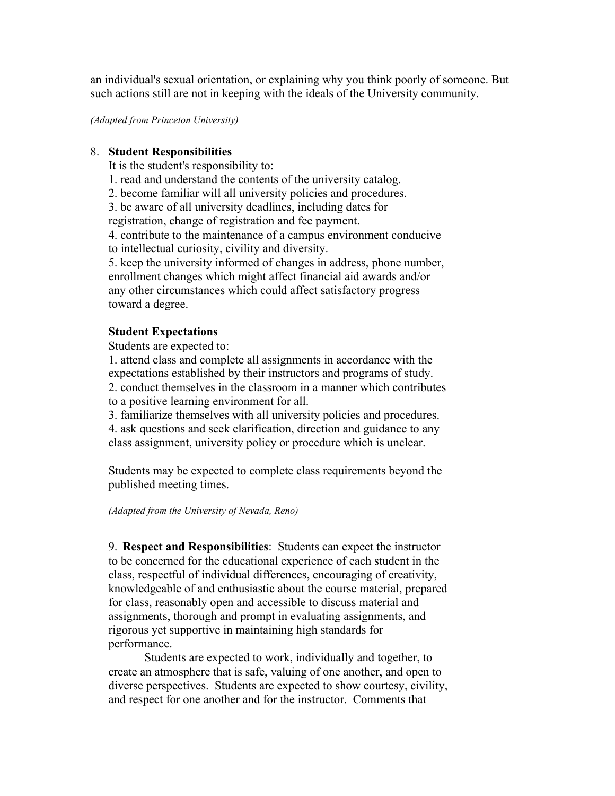an individual's sexual orientation, or explaining why you think poorly of someone. But such actions still are not in keeping with the ideals of the University community.

*(Adapted from Princeton University)*

## 8. **Student Responsibilities**

It is the student's responsibility to:

- 1. read and understand the contents of the university catalog.
- 2. become familiar will all university policies and procedures.

3. be aware of all university deadlines, including dates for registration, change of registration and fee payment.

4. contribute to the maintenance of a campus environment conducive to intellectual curiosity, civility and diversity.

5. keep the university informed of changes in address, phone number, enrollment changes which might affect financial aid awards and/or any other circumstances which could affect satisfactory progress toward a degree.

# **Student Expectations**

Students are expected to:

1. attend class and complete all assignments in accordance with the expectations established by their instructors and programs of study. 2. conduct themselves in the classroom in a manner which contributes

to a positive learning environment for all.

3. familiarize themselves with all university policies and procedures.

4. ask questions and seek clarification, direction and guidance to any class assignment, university policy or procedure which is unclear.

Students may be expected to complete class requirements beyond the published meeting times.

*(Adapted from the University of Nevada, Reno)*

9. **Respect and Responsibilities**: Students can expect the instructor to be concerned for the educational experience of each student in the class, respectful of individual differences, encouraging of creativity, knowledgeable of and enthusiastic about the course material, prepared for class, reasonably open and accessible to discuss material and assignments, thorough and prompt in evaluating assignments, and rigorous yet supportive in maintaining high standards for performance.

 Students are expected to work, individually and together, to create an atmosphere that is safe, valuing of one another, and open to diverse perspectives. Students are expected to show courtesy, civility, and respect for one another and for the instructor. Comments that